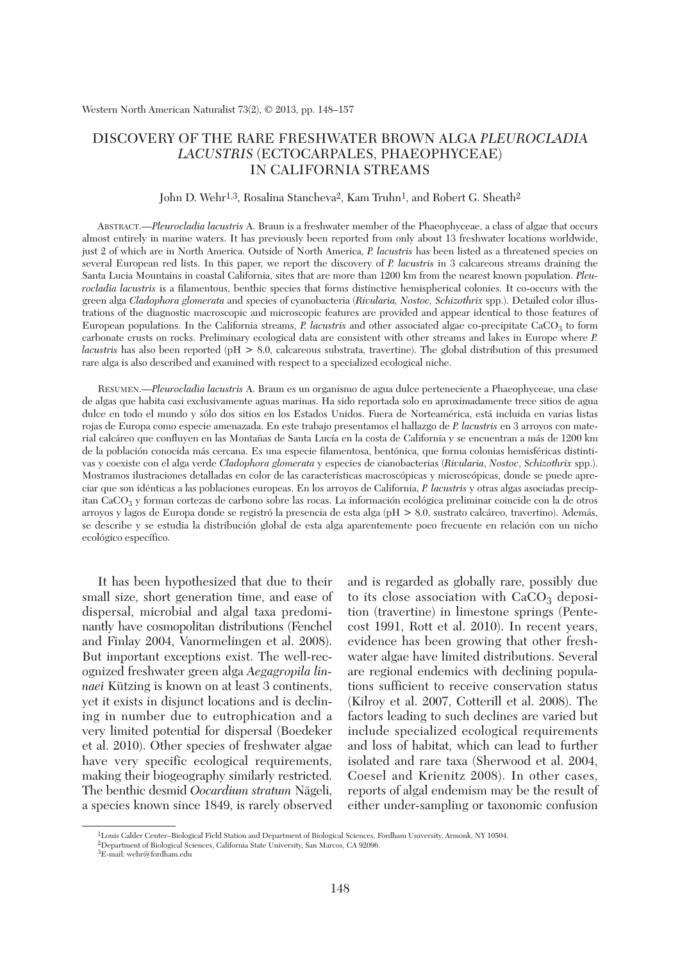## DISCOVERY OF THE RARE FRESHWATER BROWN ALGA *PLEUROCLADIA LACUSTRIS* (ECTOCARPALES, PHAEOPHYCEAE) IN CALIFORNIA STREAMS

#### John D. Wehr<sup>1,3</sup>, Rosalina Stancheva<sup>2</sup>, Kam Truhn<sup>1</sup>, and Robert G. Sheath<sup>2</sup>

ABSTRACT.—*Pleurocladia lacustris* A. Braun is a freshwater member of the Phaeophyceae, a class of algae that occurs almost entirely in marine waters. It has previously been reported from only about 13 freshwater locations worldwide, just 2 of which are in North America. Outside of North America, *P. lacustris* has been listed as a threatened species on several European red lists. In this paper, we report the discovery of *P. lacustris* in 3 calcareous streams draining the Santa Lucia Mountains in coastal California, sites that are more than 1200 km from the nearest known population. *Pleurocladia lacustris* is a filamentous, benthic species that forms distinctive hemispherical colonies. It co-occurs with the green alga *Cladophora glomerata* and species of cyanobacteria (*Rivularia, Nostoc, Schizothrix* spp.). Detailed color illustrations of the diagnostic macroscopic and microscopic features are provided and appear identical to those features of European populations. In the California streams, *P. lacustris* and other associated algae co-precipitate CaCO3 to form carbonate crusts on rocks. Preliminary ecological data are consistent with other streams and lakes in Europe where *P. lacustris* has also been reported (pH > 8.0, calcareous substrata, travertine). The global distribution of this presumed rare alga is also described and examined with respect to a specialized ecological niche.

RESUMEN.—*Pleurocladia lacustris* A. Braun es un organismo de agua dulce perteneciente a Phaeophyceae, una clase de algas que habita casi exclusivamente aguas marinas. Ha sido reportada solo en aproximadamente trece sitios de agua dulce en todo el mundo y sólo dos sitios en los Estados Unidos. Fuera de Norteamérica, está incluida en varias listas rojas de Europa como especie amenazada. En este trabajo presentamos el hallazgo de *P. lacustris* en 3 arroyos con material calcáreo que confluyen en las Montañas de Santa Lucía en la costa de California y se encuentran a más de 1200 km de la población conocida más cercana. Es una especie filamentosa, bentónica, que forma colonias hemisféricas distintivas y coexiste con el alga verde *Cladophora glomerata* y especies de cianobacterias (*Rivularia*, *Nostoc*, *Schizothrix* spp.). Mostramos ilustraciones detalladas en color de las características macroscópicas y microscópicas, donde se puede apreciar que son idénticas a las poblaciones europeas. En los arroyos de California, *P. lacustris* y otras algas asociadas precipitan CaCO3 y forman cortezas de carbono sobre las rocas. La información ecológica preliminar coincide con la de otros arroyos y lagos de Europa donde se registró la presencia de esta alga (pH > 8.0, sustrato calcáreo, travertino). Además, se describe y se estudia la distribución global de esta alga aparentemente poco frecuente en relación con un nicho ecológico específico.

It has been hypothesized that due to their small size, short generation time, and ease of dispersal, microbial and algal taxa predominantly have cosmopolitan distributions (Fenchel and Finlay 2004, Vanormelingen et al. 2008). But important exceptions exist. The well-recognized freshwater green alga *Aegagropila linnaei* Kützing is known on at least 3 continents, yet it exists in disjunct locations and is declining in number due to eutrophication and a very limited potential for dispersal (Boedeker et al. 2010). Other species of freshwater algae have very specific ecological requirements, making their biogeography similarly restricted. The benthic desmid *Oocardium stratum* Nägeli, a species known since 1849, is rarely observed

and is regarded as globally rare, possibly due to its close association with  $CaCO<sub>3</sub>$  deposition (travertine) in limestone springs (Pentecost 1991, Rott et al. 2010). In recent years, evidence has been growing that other freshwater algae have limited distributions. Several are regional endemics with declining populations sufficient to receive conservation status (Kilroy et al. 2007, Cotterill et al. 2008). The factors leading to such declines are varied but include specialized ecological requirements and loss of habitat, which can lead to further isolated and rare taxa (Sherwood et al. 2004, Coesel and Krienitz 2008). In other cases, reports of algal endemism may be the result of either under-sampling or taxonomic confusion

<sup>1</sup>Louis Calder Center–Biological Field Station and Department of Biological Sciences, Fordham University, Armonk, NY 10504. 2Department of Biological Sciences, California State University, San Marcos, CA 92096.

<sup>3</sup>E-mail: wehr@fordham.edu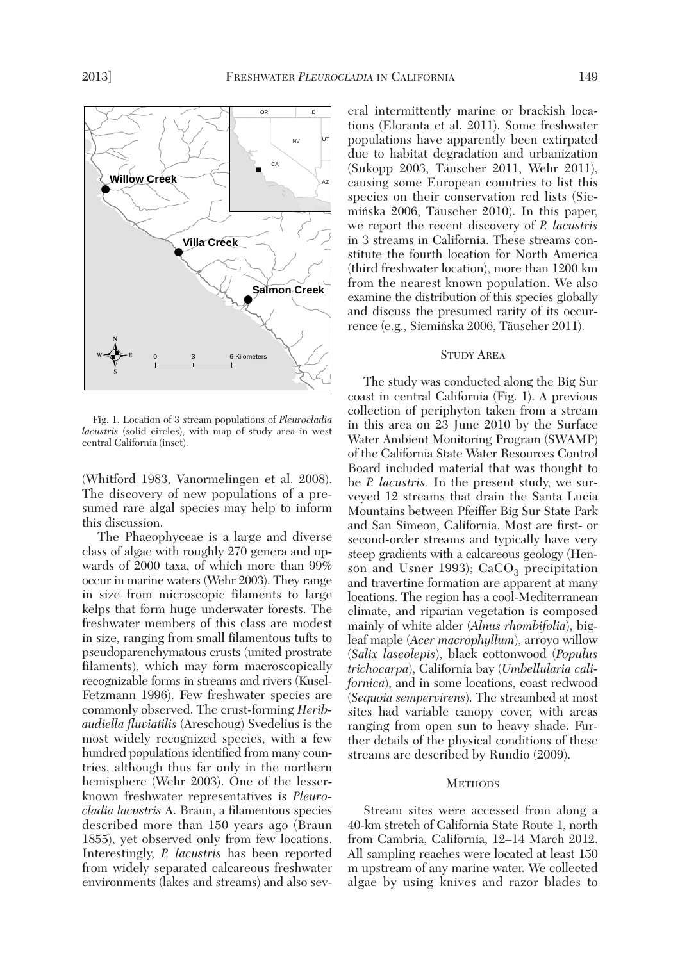

Fig. 1. Location of 3 stream populations of *Pleurocladia lacustris* (solid circles), with map of study area in west central California (inset).

(Whitford 1983, Vanormelingen et al. 2008). The discovery of new populations of a presumed rare algal species may help to inform this discussion.

The Phaeophyceae is a large and diverse class of algae with roughly 270 genera and upwards of 2000 taxa, of which more than 99% occur in marine waters (Wehr 2003). They range in size from microscopic filaments to large kelps that form huge underwater forests. The freshwater members of this class are modest in size, ranging from small filamentous tufts to pseudoparenchymatous crusts (united prostrate filaments), which may form macroscopically recognizable forms in streams and rivers (Kusel-Fetzmann 1996). Few freshwater species are commonly observed. The crust-forming *Heribaudiella fluviatilis* (Areschoug) Svedelius is the most widely recognized species, with a few hundred populations identified from many countries, although thus far only in the northern hemisphere (Wehr 2003). One of the lesserknown freshwater representatives is *Pleurocladia lacustris* A. Braun, a filamentous species described more than 150 years ago (Braun 1855), yet observed only from few locations. Interestingly, *P. lacustris* has been reported from widely separated calcareous freshwater environments (lakes and streams) and also several intermittently marine or brackish locations (Eloranta et al. 2011). Some freshwater populations have apparently been extirpated due to habitat degradation and urbanization (Sukopp 2003, Täuscher 2011, Wehr 2011), causing some European countries to list this species on their conservation red lists (Sie mińska 2006, Täuscher 2010). In this paper, we report the recent discovery of *P. lacustris* in 3 streams in California. These streams constitute the fourth location for North America (third freshwater location), more than 1200 km from the nearest known population. We also examine the distribution of this species globally and discuss the presumed rarity of its occurrence (e.g., Siemińska 2006, Täuscher 2011).

### STUDY AREA

The study was conducted along the Big Sur coast in central California (Fig. 1). A previous collection of periphyton taken from a stream in this area on 23 June 2010 by the Surface Water Ambient Monitoring Program (SWAMP) of the California State Water Resources Control Board included material that was thought to be *P. lacustris.* In the present study, we surveyed 12 streams that drain the Santa Lucia Mountains between Pfeiffer Big Sur State Park and San Simeon, California. Most are first- or second-order streams and typically have very steep gradients with a calcareous geology (Hen son and Usner 1993);  $CaCO<sub>3</sub>$  precipitation and travertine formation are apparent at many locations. The region has a cool-Mediterranean climate, and riparian vegetation is composed mainly of white alder (*Alnus rhombifolia*), bigleaf maple (*Acer macrophyllum*), arroyo willow (*Salix laseolepis*), black cottonwood (*Populus trichocarpa*), California bay (*Umbellularia californica*), and in some locations, coast redwood (*Sequoia sempervirens*). The streambed at most sites had variable canopy cover, with areas ranging from open sun to heavy shade. Further details of the physical conditions of these streams are described by Rundio (2009).

#### **METHODS**

Stream sites were accessed from along a 40-km stretch of California State Route 1, north from Cambria, California, 12–14 March 2012. All sampling reaches were located at least 150 m upstream of any marine water. We collected algae by using knives and razor blades to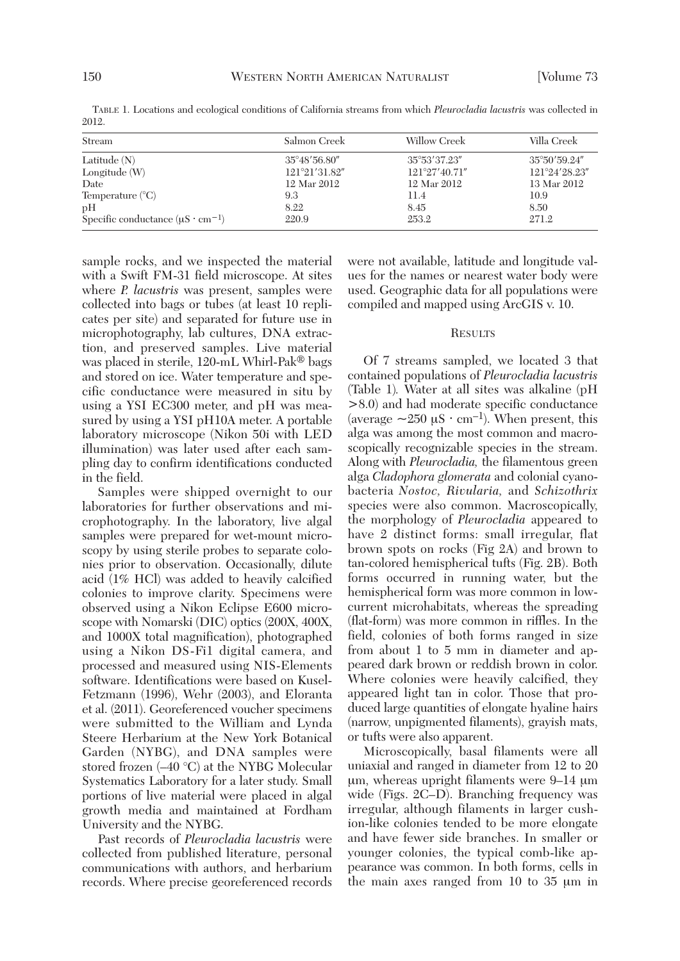| Salmon Creek  | Willow Creek   | Villa Creek   |
|---------------|----------------|---------------|
| 35°48'56.80"  | 35°53'37.23"   | 35°50'59.24"  |
| 121°21′31.82″ | 121°27'40.71'' | 121°24'28.23" |
| 12 Mar 2012   | 12 Mar 2012    | 13 Mar 2012   |
| 9.3           | 11.4           | 10.9          |
| 8.22          | 8.45           | 8.50          |
| 220.9         | 253.2          | 271.2         |
|               |                |               |

TABLE 1. Locations and ecological conditions of California streams from which *Pleurocladia lacustris* was collected in 2012.

sample rocks, and we inspected the material with a Swift FM-31 field microscope. At sites where *P. lacustris* was present, samples were collected into bags or tubes (at least 10 replicates per site) and separated for future use in microphotography, lab cultures, DNA extraction, and preserved samples. Live material was placed in sterile, 120-mL Whirl-Pak® bags and stored on ice. Water temperature and specific conductance were measured in situ by using a YSI EC300 meter, and pH was measured by using a YSI pH10A meter. A portable laboratory microscope (Nikon 50i with LED illumination) was later used after each sampling day to confirm identifications conducted in the field.

Samples were shipped overnight to our laboratories for further observations and microphotography. In the laboratory, live algal samples were prepared for wet-mount microscopy by using sterile probes to separate colonies prior to observation. Occasionally, dilute acid (1% HCl) was added to heavily calcified colonies to improve clarity. Specimens were observed using a Nikon Eclipse E600 microscope with Nomarski (DIC) optics (200X, 400X, and 1000X total magnification), photographed using a Nikon DS-Fi1 digital camera, and processed and measured using NIS-Elements software. Identifications were based on Kusel-Fetzmann (1996), Wehr (2003), and Eloranta et al. (2011). Georeferenced voucher specimens were submitted to the William and Lynda Steere Herbarium at the New York Botanical Garden (NYBG), and DNA samples were stored frozen (–40 °C) at the NYBG Molecular Systematics Laboratory for a later study. Small portions of live material were placed in algal growth media and maintained at Fordham University and the NYBG.

Past records of *Pleurocladia lacustris* were collected from published literature, personal communications with authors, and herbarium records. Where precise georeferenced records were not available, latitude and longitude values for the names or nearest water body were used. Geographic data for all populations were compiled and mapped using ArcGIS v. 10.

#### **RESULTS**

Of 7 streams sampled, we located 3 that contained populations of *Pleurocladia lacustris* (Table 1)*.* Water at all sites was alkaline (pH >8.0) and had moderate specific conductance (average  $\sim$ 250  $\mu$ S · cm<sup>-1</sup>). When present, this alga was among the most common and macroscopically recognizable species in the stream. Along with *Pleurocladia,* the filamentous green alga *Cladophora glomerata* and colonial cyanobacteria *Nostoc, Rivularia,* and *Schizothrix* species were also common. Macroscopically, the morphology of *Pleurocladia* appeared to have 2 distinct forms: small irregular, flat brown spots on rocks (Fig 2A) and brown to tan-colored hemispherical tufts (Fig. 2B). Both forms occurred in running water, but the hemispherical form was more common in lowcurrent microhabitats, whereas the spreading (flat-form) was more common in riffles. In the field, colonies of both forms ranged in size from about 1 to 5 mm in diameter and appeared dark brown or reddish brown in color. Where colonies were heavily calcified, they appeared light tan in color. Those that produced large quantities of elongate hyaline hairs (narrow, unpigmented filaments), grayish mats, or tufts were also apparent.

Microscopically, basal filaments were all uniaxial and ranged in diameter from 12 to 20  $\mu$ m, whereas upright filaments were 9–14  $\mu$ m wide (Figs. 2C–D). Branching frequency was irregular, although filaments in larger cushion-like colonies tended to be more elongate and have fewer side branches. In smaller or younger colonies, the typical comb-like appearance was common. In both forms, cells in the main axes ranged from 10 to  $35 \mu m$  in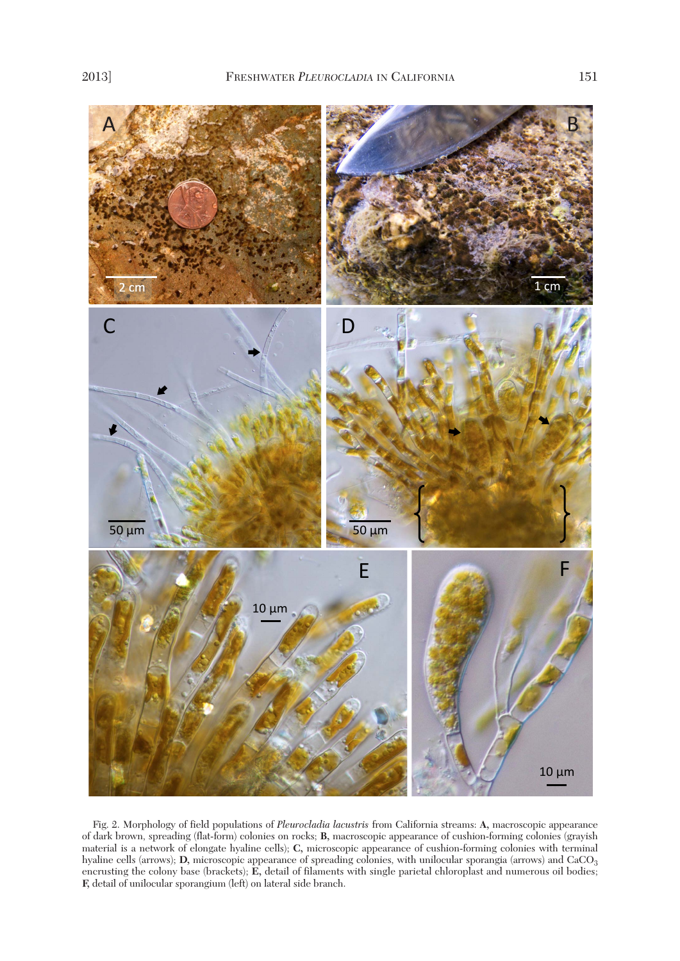

Fig. 2. Morphology of field populations of *Pleurocladia lacustris* from California streams: **A,** macroscopic appearance of dark brown, spreading (flat-form) colonies on rocks; **B,** macroscopic appearance of cushion-forming colonies (grayish material is a network of elongate hyaline cells); **C,** microscopic appearance of cushion-forming colonies with terminal hyaline cells (arrows); **D**, microscopic appearance of spreading colonies, with unilocular sporangia (arrows) and CaCO<sub>3</sub> encrusting the colony base (brackets); **E,** detail of filaments with single parietal chloroplast and numerous oil bodies; **F,** detail of unilocular sporangium (left) on lateral side branch.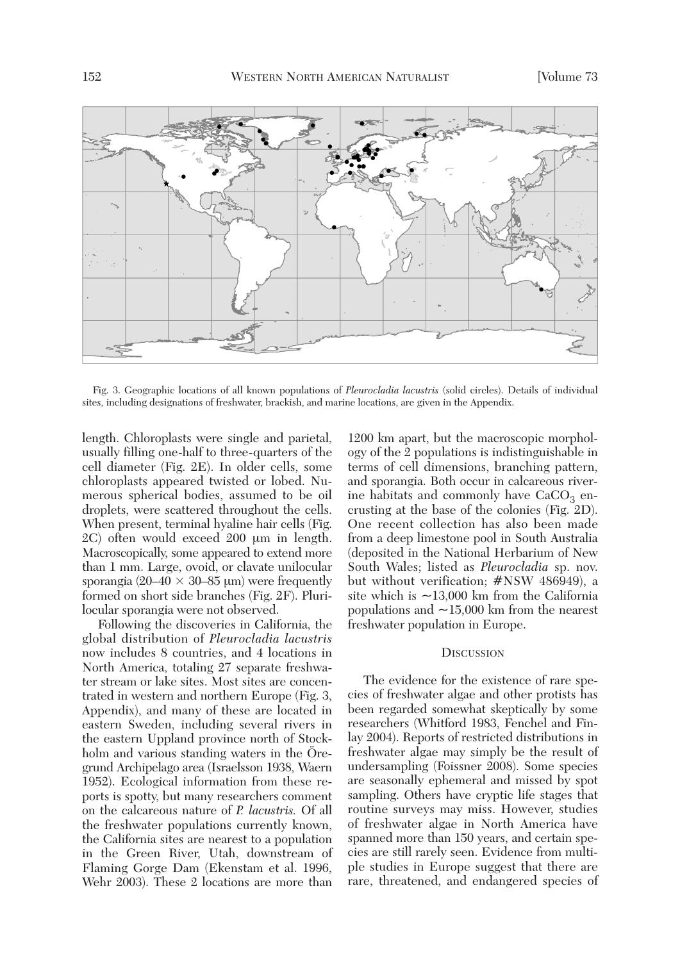

Fig. 3. Geographic locations of all known populations of *Pleurocladia lacustris* (solid circles). Details of individual sites, including designations of freshwater, brackish, and marine locations, are given in the Appendix.

length. Chloroplasts were single and parietal, usually filling one-half to three-quarters of the cell diameter (Fig. 2E). In older cells, some chloroplasts appeared twisted or lobed. Numerous spherical bodies, assumed to be oil droplets, were scattered throughout the cells. When present, terminal hyaline hair cells (Fig. 2C) often would exceed 200 µm in length. Macroscopically, some appeared to extend more than 1 mm. Large, ovoid, or clavate unilocular sporangia (20–40  $\times$  30–85 µm) were frequently formed on short side branches (Fig. 2F). Pluri locular sporangia were not observed.

Following the discoveries in California, the global distribution of *Pleurocladia lacustris* now includes 8 countries, and 4 locations in North America, totaling 27 separate freshwater stream or lake sites. Most sites are concentrated in western and northern Europe (Fig. 3, Appendix), and many of these are located in eastern Sweden, including several rivers in the eastern Uppland province north of Stockholm and various standing waters in the Öregrund Archipelago area (Israelsson 1938, Waern 1952). Ecological information from these re ports is spotty, but many researchers comment on the calcareous nature of *P. lacustris.* Of all the freshwater populations currently known, the California sites are nearest to a population in the Green River, Utah, downstream of Flaming Gorge Dam (Ekenstam et al. 1996, Wehr 2003). These 2 locations are more than

1200 km apart, but the macroscopic morphology of the 2 populations is indistinguishable in terms of cell dimensions, branching pattern, and sporangia. Both occur in calcareous riverine habitats and commonly have  $CaCO<sub>3</sub>$  encrusting at the base of the colonies (Fig. 2D). One recent collection has also been made from a deep limestone pool in South Australia (deposited in the National Herbarium of New South Wales; listed as *Pleurocladia* sp. nov. but without verification; #NSW 486949), a site which is  $\sim$ 13,000 km from the California populations and  $\sim$ 15,000 km from the nearest freshwater population in Europe.

#### **DISCUSSION**

The evidence for the existence of rare species of freshwater algae and other protists has been regarded somewhat skeptically by some researchers (Whitford 1983, Fenchel and Finlay 2004). Reports of restricted distributions in freshwater algae may simply be the result of undersampling (Foissner 2008). Some species are seasonally ephemeral and missed by spot sampling. Others have cryptic life stages that routine surveys may miss. However, studies of freshwater algae in North America have spanned more than 150 years, and certain species are still rarely seen. Evidence from multiple studies in Europe suggest that there are rare, threatened, and endangered species of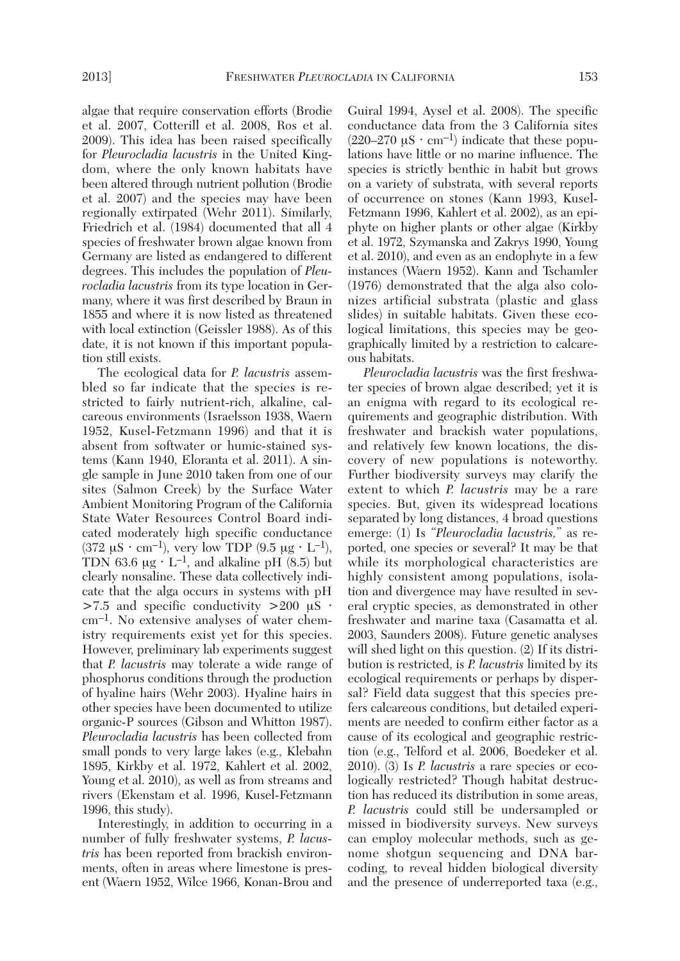algae that require conservation efforts (Brodie et al. 2007, Cotterill et al. 2008, Ros et al. 2009). This idea has been raised specifically for *Pleurocladia lacustris* in the United Kingdom, where the only known habitats have been altered through nutrient pollution (Brodie et al. 2007) and the species may have been regionally extirpated (Wehr 2011). Similarly, Friedrich et al. (1984) documented that all 4 species of freshwater brown algae known from Germany are listed as endangered to different degrees. This includes the population of *Pleurocladia lacustris* from its type location in Germany, where it was first described by Braun in 1855 and where it is now listed as threatened with local extinction (Geissler 1988). As of this date, it is not known if this important population still exists.

The ecological data for *P. lacustris* assembled so far indicate that the species is re stricted to fairly nutrient-rich, alkaline, calcareous environments (Israelsson 1938, Waern 1952, Kusel-Fetzmann 1996) and that it is absent from softwater or humic-stained systems (Kann 1940, Eloranta et al. 2011). A single sample in June 2010 taken from one of our sites (Salmon Creek) by the Surface Water Ambient Monitoring Program of the California State Water Resources Control Board indicated moderately high specific conductance  $(372 \mu S \cdot cm^{-1})$ , very low TDP  $(9.5 \mu g \cdot L^{-1})$ , TDN 63.6  $\mu$ g ⋅ L<sup>-1</sup>, and alkaline pH (8.5) but clearly nonsaline. These data collectively indicate that the alga occurs in systems with pH  $>7.5$  and specific conductivity  $>200 \text{ }\mu\text{S}$ . cm–1. No extensive analyses of water chemistry requirements exist yet for this species. However, preliminary lab experiments suggest that *P. lacustris* may tolerate a wide range of phosphorus conditions through the production of hyaline hairs (Wehr 2003). Hyaline hairs in other species have been documented to utilize organic-P sources (Gibson and Whitton 1987). *Pleurocladia lacus tris* has been collected from small ponds to very large lakes (e.g., Klebahn 1895, Kirkby et al. 1972, Kahlert et al. 2002, Young et al. 2010), as well as from streams and rivers (Ekenstam et al. 1996, Kusel-Fetzmann 1996, this study).

Interestingly, in addition to occurring in a number of fully freshwater systems, *P. lacustris* has been reported from brackish environments, often in areas where limestone is present (Waern 1952, Wilce 1966, Konan-Brou and Guiral 1994, Aysel et al. 2008). The specific conductance data from the 3 California sites  $(220-270 \mu S \cdot cm^{-1})$  indicate that these populations have little or no marine influence. The species is strictly benthic in habit but grows on a variety of substrata, with several reports of occurrence on stones (Kann 1993, Kusel-Fetzmann 1996, Kahlert et al. 2002), as an epiphyte on higher plants or other algae (Kirkby et al. 1972, Szymanska and Zakrys 1990, Young et al. 2010), and even as an endophyte in a few instances (Waern 1952). Kann and Tschamler (1976) demonstrated that the alga also colonizes artificial substrata (plastic and glass slides) in suitable habitats. Given these ecological limitations, this species may be geographically limited by a restriction to calcareous habitats.

*Pleurocladia lacustris* was the first freshwater species of brown algae described; yet it is an enigma with regard to its ecological requirements and geographic distribution. With freshwater and brackish water populations, and relatively few known locations, the discovery of new populations is noteworthy. Further biodiversity surveys may clarify the extent to which *P. lacustris* may be a rare species. But, given its widespread locations separated by long distances, 4 broad questions emerge: (1) Is *"Pleurocladia lacustris,*" as re ported, one species or several? It may be that while its morphological characteristics are highly consistent among populations, isolation and divergence may have resulted in several cryptic species, as demonstrated in other freshwater and marine taxa (Casamatta et al. 2003, Saunders 2008). Future genetic analyses will shed light on this question. (2) If its distribution is restricted, is *P. lacustris* limited by its ecological requirements or perhaps by dispersal? Field data suggest that this species prefers calcareous conditions, but detailed experiments are needed to confirm either factor as a cause of its ecological and geographic restriction (e.g., Telford et al. 2006, Boedeker et al. 2010). (3) Is *P. lacustris* a rare species or ecologically restricted? Though habitat destruction has reduced its distribution in some areas, *P. lacustris* could still be undersampled or missed in biodiversity surveys. New surveys can employ molecular methods, such as genome shotgun sequencing and DNA barcoding, to reveal hidden biological diversity and the presence of underreported taxa (e.g.,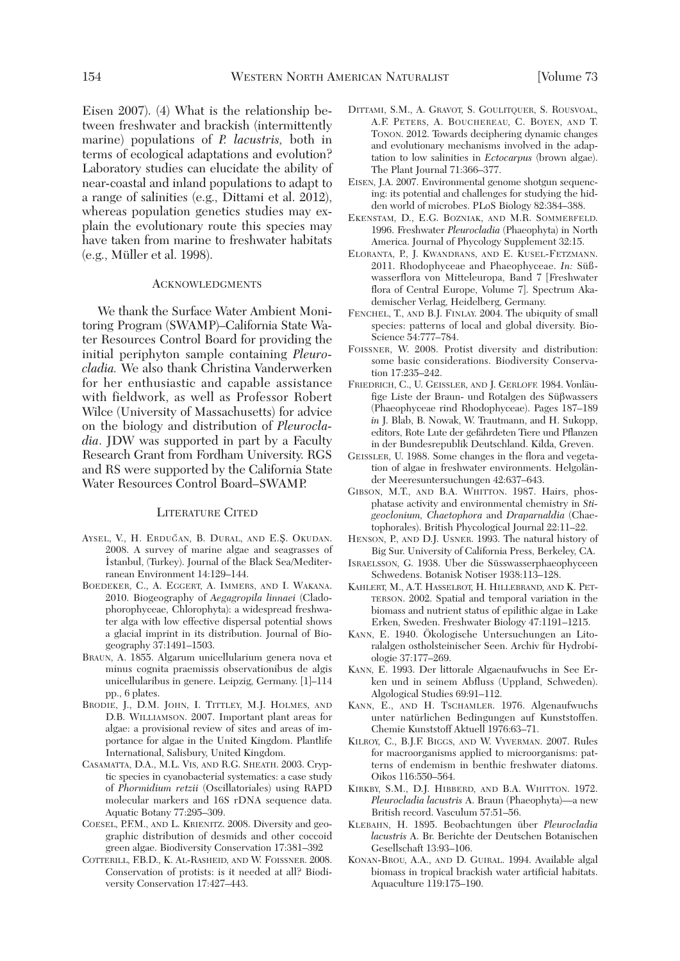Eisen 2007). (4) What is the relationship between freshwater and brackish (intermittently marine) populations of *P. lacustris,* both in terms of ecological adaptations and evolution? Laboratory studies can elucidate the ability of near-coastal and inland populations to adapt to a range of salinities (e.g., Dittami et al. 2012), whereas population genetics studies may explain the evolutionary route this species may have taken from marine to freshwater habitats (e.g., Müller et al. 1998).

#### ACKNOWLEDGMENTS

We thank the Surface Water Ambient Monitoring Program (SWAMP)–California State Wa ter Resources Control Board for providing the initial periphyton sample containing *Pleurocladia.* We also thank Christina Vanderwerken for her enthusiastic and capable assistance with fieldwork, as well as Professor Robert Wilce (University of Massachusetts) for advice on the biology and distribution of *Pleurocladia*. JDW was supported in part by a Faculty Research Grant from Fordham University. RGS and RS were supported by the California State Water Resources Control Board–SWAMP.

#### LITERATURE CITED

- AYSEL, V., H. ERDUĞAN, B. DURAL, AND E.S. OKUDAN. 2008. A survey of marine algae and seagrasses of ˙Istanbul, (Turkey). Journal of the Black Sea/Mediterranean Environment 14:129–144.
- BOEDEKER, C., A. EGGERT, A. IMMERS, AND I. WAKANA. 2010. Biogeography of *Aegagropila linnaei* (Clado phorophyceae, Chlorophyta): a widespread freshwater alga with low effective dispersal potential shows a glacial imprint in its distribution. Journal of Biogeography 37:1491–1503.
- BRAUN, A. 1855. Algarum unicellularium genera nova et minus cognita praemissis observationibus de algis unicellularibus in genere. Leipzig, Germany. [1]–114 pp., 6 plates.
- BRODIE, J., D.M. JOHN, I. TITTLEY, M.J. HOLMES, AND D.B. WILLIAMSON. 2007. Important plant areas for algae: a provisional review of sites and areas of im portance for algae in the United Kingdom. Plantlife International, Salisbury, United Kingdom.
- CASAMATTA, D.A., M.L. VIS, AND R.G. SHEATH. 2003. Cryp tic species in cyanobacterial systematics: a case study of *Phormidium retzii* (Oscillatoriales) using RAPD molecular markers and 16S rDNA sequence data. Aquatic Botany 77:295–309.
- COESEL, P.F.M., AND L. KRIENITZ. 2008. Diversity and geographic distribution of desmids and other coccoid green algae. Biodiversity Conservation 17:381–392
- COTTERILL, F.B.D., K. AL-RASHEID, AND W. FOISSNER. 2008. Conservation of protists: is it needed at all? Biodiversity Conservation 17:427–443.
- DITTAMI, S.M., A. GRAVOT, S. GOULITQUER, S. ROUSVOAL, A.F. PETERS, A. BOUCHEREAU, C. BOYEN, AND T. TONON. 2012. Towards deciphering dynamic changes and evolutionary mechanisms involved in the adaptation to low salinities in *Ectocarpus* (brown algae). The Plant Journal 71:366–377.
- EISEN, J.A. 2007. Environmental genome shotgun sequencing: its potential and challenges for studying the hidden world of microbes. PLoS Biology 82:384–388.
- EKENSTAM, D., E.G. BOZNIAK, AND M.R. SOMMERFELD. 1996. Freshwater *Pleurocladia* (Phaeophyta) in North America. Journal of Phycology Supplement 32:15.
- ELORANTA, P., J. KWANDRANS, AND E. KUSEL-FETZMANN. 2011. Rhodophyceae and Phaeophyceae. *In:* Süßwasserflora von Mitteleuropa, Band 7 [Freshwater flora of Central Europe, Volume 7]. Spectrum Aka demischer Verlag, Heidelberg, Germany.
- FENCHEL, T., AND B.J. FINLAY. 2004. The ubiquity of small species: patterns of local and global diversity. Bio-Science 54:777–784.
- FOISSNER, W. 2008. Protist diversity and distribution: some basic considerations. Biodiversity Conservation 17:235–242.
- FRIEDRICH, C., U. GEISSLER, AND J. GERLOFF. 1984. Vonläufige Liste der Braun- und Rotalgen des Süßwassers (Phaeophyceae rind Rhodophyceae). Pages 187–189 *in* J. Blab, B. Nowak, W. Trautmann, and H. Sukopp, editors, Rote Lute der gefährdeten Tiere und Pflanzen in der Bundesrepublik Deutschland. Kilda, Greven.
- GEISSLER, U. 1988. Some changes in the flora and vegetation of algae in freshwater environments. Helgoländer Meeresuntersuchungen 42:637–643.
- GIBSON, M.T., AND B.A. WHITTON. 1987. Hairs, phosphatase activity and environmental chemistry in *Stigeoclonium, Chaetophora* and *Draparnaldia* (Chae tophorales). British Phycological Journal 22:11–22.
- HENSON, P., AND D.J. USNER. 1993. The natural history of Big Sur. University of California Press, Berkeley, CA.
- ISRAELSSON, G. 1938. Uber die Süsswasserphaeophyceen Schwedens. Botanisk Notiser 1938:113–128.
- KAHLERT, M., A.T. HASSELROT, H. HILLEBRAND, AND K. PET-TERSON. 2002. Spatial and temporal variation in the biomass and nutrient status of epilithic algae in Lake Erken, Sweden. Freshwater Biology 47:1191–1215.
- KANN, E. 1940. Ökologische Untersuchungen an Lito ralalgen ostholsteinischer Seen. Archiv für Hydrobiologie 37:177–269.
- KANN, E. 1993. Der littorale Algaenaufwuchs in See Er ken und in seinem Abfluss (Uppland, Schweden). Algological Studies 69:91–112.
- KANN, E., AND H. TSCHAMLER. 1976. Algenaufwuchs unter natürlichen Bedingungen auf Kunststoffen. Chemie Kunststoff Aktuell 1976:63–71.
- KILROY, C., B.J.F. BIGGS, AND W. VYVERMAN. 2007. Rules for macroorganisms applied to microorganisms: patterns of endemism in benthic freshwater diatoms. Oikos 116:550–564.
- KIRKBY, S.M., D.J. HIBBERD, AND B.A. WHITTON. 1972. *Pleurocladia lacustris* A. Braun (Phaeophyta)—a new British record. Vasculum 57:51–56.
- KLEBAHN, H. 1895. Beobachtungen über *Pleurocladia lacustris* A. Br. Berichte der Deutschen Botanischen Gesellschaft 13:93–106.
- KONAN-BROU, A.A., AND D. GUIRAL. 1994. Available algal biomass in tropical brackish water artificial habitats. Aquaculture 119:175–190.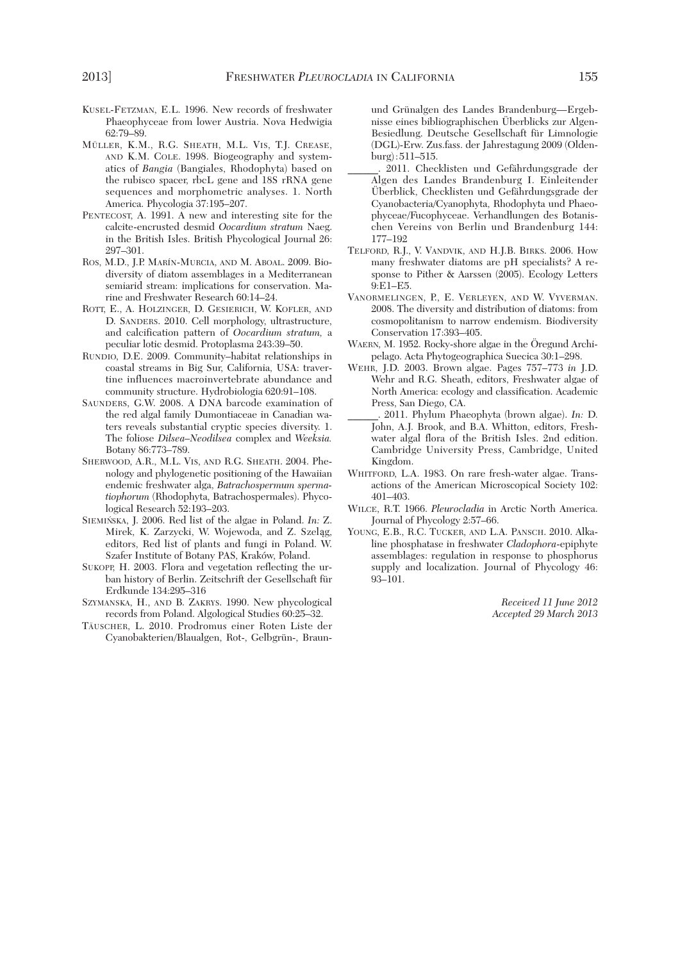- KUSEL-FETZMAN, E.L. 1996. New records of freshwater Phaeophyceae from lower Austria. Nova Hedwigia 62:79–89.
- MÜLLER, K.M., R.G. SHEATH, M.L. VIS, T.J. CREASE, AND K.M. COLE. 1998. Biogeography and systematics of *Bangia* (Bangiales, Rhodophyta) based on the rubisco spacer, rbcL gene and 18S rRNA gene sequences and morphometric analyses. 1. North America. Phycologia 37:195–207.
- PENTECOST, A. 1991. A new and interesting site for the calcite-encrusted desmid *Oocardium stratum* Naeg. in the British Isles. British Phycological Journal 26: 297–301.
- ROS, M.D., J.P. MARÍN-MURCIA, AND M. ABOAL. 2009. Biodiversity of diatom assemblages in a Mediterranean semiarid stream: implications for conservation. Marine and Freshwater Research 60:14–24.
- ROTT, E., A. HOLZINGER, D. GESIERICH, W. KOFLER, AND D. SANDERS. 2010. Cell morphology, ultrastructure, and calcification pattern of *Oocardium stratum,* a peculiar lotic desmid. Protoplasma 243:39–50.
- RUNDIO, D.E. 2009. Community–habitat relationships in coastal streams in Big Sur, California, USA: travertine influences macroinvertebrate abundance and community structure. Hydrobiologia 620:91–108.
- SAUNDERS, G.W. 2008. A DNA barcode examination of the red algal family Dumontiaceae in Canadian waters reveals substantial cryptic species diversity. 1. The foliose *Dilsea–Neodilsea* complex and *Weeksia.* Botany 86:773–789.
- SHERWOOD, A.R., M.L. VIS, AND R.G. SHEATH. 2004. Phenology and phylogenetic positioning of the Hawaiian endemic freshwater alga, *Batrachospermum spermatiophorum* (Rhodophyta, Batrachospermales). Phycological Research 52:193–203.
- SIEMIN´SKA, J. 2006. Red list of the algae in Poland. *In:* Z. Mirek, K. Zarzycki, W. Wojewoda, and Z. Szeląg, editors, Red list of plants and fungi in Poland. W. Szafer Institute of Botany PAS, Kraków, Poland.
- SUKOPP, H. 2003. Flora and vegetation reflecting the urban history of Berlin. Zeitschrift der Gesellschaft für Erdkunde 134:295–316
- SZYMANSKA, H., AND B. ZAKRYS. 1990. New phycological records from Poland. Algological Studies 60:25–32.
- TÄUSCHER, L. 2010. Prodromus einer Roten Liste der Cyanobakterien/Blaualgen, Rot-, Gelbgrün-, Braun-

und Grünalgen des Landes Brandenburg—Ergebnisse eines bibliographischen Überblicks zur Algen-Besiedlung. Deutsche Gesellschaft für Limnologie (DGL)-Erw. Zus.fass. der Jahrestagung 2009 (Oldenburg) : 511–515.

- \_\_\_\_\_\_. 2011. Checklisten und Gefährdungsgrade der Algen des Landes Brandenburg I. Einleitender Überblick, Checklisten und Gefährdungsgrade der Cyanobacteria/Cyanophyta, Rhodophyta und Phaeophyceae/Fucophyceae. Verhandlungen des Botanischen Vereins von Berlin und Brandenburg 144: 177–192
- TELFORD, R.J., V. VANDVIK, AND H.J.B. BIRKS. 2006. How many freshwater diatoms are pH specialists? A response to Pither & Aarssen (2005). Ecology Letters 9:E1–E5.
- VANORMELINGEN, P., E. VERLEYEN, AND W. VYVERMAN. 2008. The diversity and distribution of diatoms: from cosmopolitanism to narrow endemism. Biodiversity Conservation 17:393–405.
- WAERN, M. 1952. Rocky-shore algae in the Öregund Archipelago. Acta Phytogeographica Suecica 30:1–298.
- WEHR, J.D. 2003. Brown algae. Pages 757–773 *in* J.D. Wehr and R.G. Sheath, editors, Freshwater algae of North America: ecology and classification. Academic Press, San Diego, CA.
- \_\_\_\_\_\_. 2011. Phylum Phaeophyta (brown algae). *In:* D. John, A.J. Brook, and B.A. Whitton, editors, Freshwater algal flora of the British Isles. 2nd edition. Cambridge University Press, Cambridge, United Kingdom.
- WHITFORD, L.A. 1983. On rare fresh-water algae. Transactions of the American Microscopical Society 102: 401–403.
- WILCE, R.T. 1966. *Pleurocladia* in Arctic North America. Journal of Phycology 2:57–66.
- YOUNG, E.B., R.C. TUCKER, AND L.A. PANSCH. 2010. Alkaline phosphatase in freshwater *Cladophora*-epiphyte assemblages: regulation in response to phosphorus supply and localization. Journal of Phycology 46: 93–101.

*Received 11 June 2012 Accepted 29 March 2013*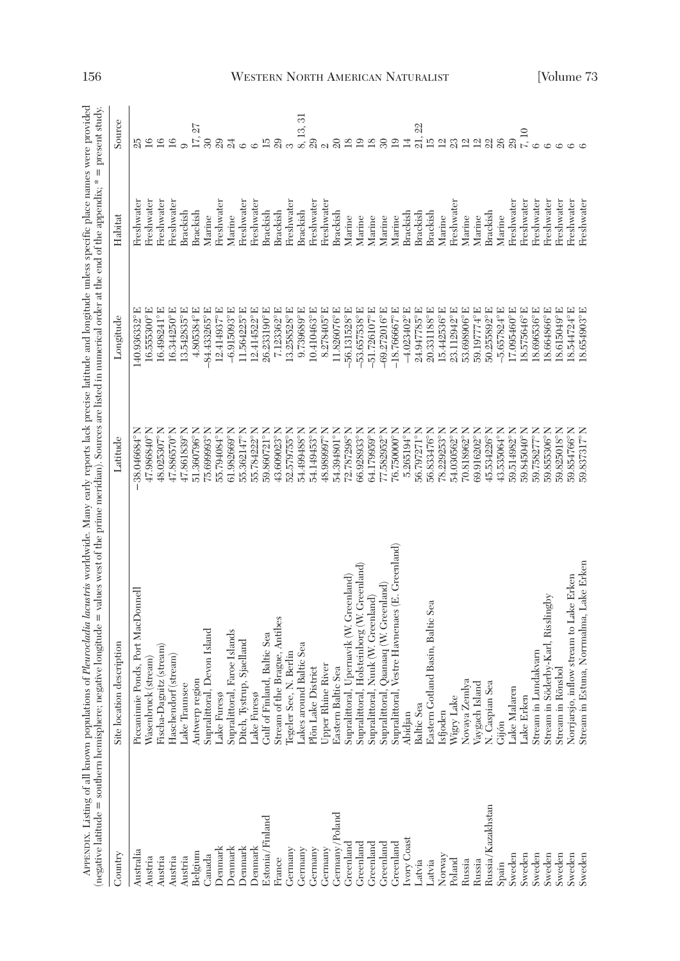| j                                                             | ί<br>j                                    |
|---------------------------------------------------------------|-------------------------------------------|
|                                                               | j                                         |
|                                                               | ֓֕֕֜֡֜֜                                   |
|                                                               |                                           |
|                                                               |                                           |
|                                                               | aca<br>ׇ֚֘֝֬<br>j                         |
| 5                                                             | r                                         |
|                                                               |                                           |
|                                                               | $\mathsf{I}$                              |
|                                                               | Ģ<br>ł                                    |
|                                                               |                                           |
|                                                               | $\frac{1}{2}$                             |
| j                                                             |                                           |
|                                                               | j                                         |
|                                                               | j<br>í                                    |
| Ç                                                             | ׇ֚֬֡                                      |
| i                                                             | j                                         |
| į<br>J                                                        |                                           |
| j<br>l                                                        | ļ                                         |
| î<br>j                                                        |                                           |
| j<br>l                                                        | ֖֖֖֧ׅ֧֚֚֚֚֚֚֚֚֚֚֚֚֚֚֚֚֚֚֚֚֚֚֚֚֚֚֚֚֚֚֡֝֝֓֞ |
| i                                                             |                                           |
|                                                               |                                           |
|                                                               | ı                                         |
| į                                                             |                                           |
|                                                               | ä                                         |
|                                                               | ì                                         |
| ı                                                             | Ï                                         |
| ì                                                             |                                           |
|                                                               | d<br>l                                    |
| ٤                                                             | ì<br>Ĭ                                    |
|                                                               |                                           |
| ï<br>j                                                        |                                           |
| j<br>₹                                                        |                                           |
| j                                                             |                                           |
| I                                                             |                                           |
|                                                               | j<br>ł                                    |
|                                                               | ì                                         |
|                                                               |                                           |
| ã<br>ì                                                        |                                           |
|                                                               | i                                         |
|                                                               |                                           |
| į                                                             | i<br>j                                    |
|                                                               | i                                         |
| ֖֖֧ׅׅׅׅ֧ׅ֧ׅ֧֧ׅ֧֧ׅ֧ׅ֧֚֚֚֚֚֚֚֚֚֚֚֚֚֚֚֚֚֚֚֚֚֚֚֚֚֚֡֝֡֝֬֝֬֓֝֬֓֬֝֬֜ | j                                         |
| i                                                             | j                                         |
| i<br>j                                                        | j                                         |
|                                                               |                                           |
|                                                               | į                                         |
|                                                               | i<br>l                                    |
| earn                                                          |                                           |
|                                                               | Í                                         |
| i                                                             | ¢                                         |
|                                                               | ş                                         |
| $\ddot{\mathbf{z}}$                                           | ł                                         |
|                                                               | $\ddot{\phantom{0}}$                      |
|                                                               | i                                         |
| j                                                             |                                           |
|                                                               | l                                         |
| $\frac{1}{2}$                                                 | i                                         |
|                                                               | <br>ì                                     |
| l                                                             |                                           |
| $\ddot{\phantom{a}}$                                          | i<br>J                                    |
| ļ                                                             | j                                         |
| Ì<br>١                                                        | ನ                                         |
| l<br>į                                                        |                                           |
|                                                               | II                                        |
|                                                               |                                           |
|                                                               | j                                         |
| Ì                                                             |                                           |
| I                                                             | i<br>֠                                    |
| control.                                                      | ١                                         |
| Í<br>j                                                        | j                                         |
| j                                                             | $\frac{1}{2}$<br>ž<br>j                   |
| ζ                                                             | ≂                                         |
|                                                               | ĺ                                         |
|                                                               | j<br>j                                    |
|                                                               |                                           |
|                                                               |                                           |
|                                                               | $\overline{\phantom{a}}$                  |
|                                                               |                                           |
|                                                               | ׇ֚֘֝֬                                     |
|                                                               |                                           |
|                                                               |                                           |
|                                                               |                                           |
|                                                               |                                           |
|                                                               |                                           |
|                                                               |                                           |
|                                                               | i                                         |
|                                                               |                                           |
|                                                               | II                                        |
| ׇ֚֘֝֬                                                         |                                           |
|                                                               |                                           |
|                                                               |                                           |
|                                                               |                                           |
| ֕                                                             |                                           |
|                                                               |                                           |
|                                                               |                                           |
|                                                               |                                           |
|                                                               |                                           |
|                                                               |                                           |

|                   | APPEXDIX. Listing of all known populations of <i>Heurocladia lacustris</i> worldwide. Many reports lack precise latitude and longitude unless specific place names were provided<br>(negative latitude = southern hemisphere; negative longitude = values west of the prime meridian). Sources are listed in numerical order at the end of the appendix; * |                     |                             |                 | = present study.                                                          |
|-------------------|------------------------------------------------------------------------------------------------------------------------------------------------------------------------------------------------------------------------------------------------------------------------------------------------------------------------------------------------------------|---------------------|-----------------------------|-----------------|---------------------------------------------------------------------------|
| Country           | Site location description                                                                                                                                                                                                                                                                                                                                  | Latitude            | Longitud                    | Habita          | Source                                                                    |
| Australia         | Piccaninnie Ponds, Port MacDonnell                                                                                                                                                                                                                                                                                                                         | 38.046684°          | 140.936332°                 | Freshwater      | 25                                                                        |
| Austria           | Wasenbruck (stream)                                                                                                                                                                                                                                                                                                                                        | 47.986840°          | 16.555300°E                 | Freshwater      | 16                                                                        |
| Austria           | Fischa-Dagnitz (stream)                                                                                                                                                                                                                                                                                                                                    | 48.025307           | 16.498241°E                 | Freshwater      | 16                                                                        |
| Austria           | Haschendorf (stream)                                                                                                                                                                                                                                                                                                                                       | 47.886570°          | 16.344250°E                 | Freshwater      | 16                                                                        |
| Austria           | Lake Traunsee                                                                                                                                                                                                                                                                                                                                              | 47.861839°          | 13.542835°E                 | <b>Brackish</b> |                                                                           |
| Belgium           | Antwerp region                                                                                                                                                                                                                                                                                                                                             | 51.360796°          | 4.805384°E                  | Brackish        | 17, 27                                                                    |
| Canada            | <b>Devon Island</b><br>Supralittoral,                                                                                                                                                                                                                                                                                                                      | 75.699993°          | 띄<br>84.433265°             | Marine          | $30\,$                                                                    |
| Denmark           | Lake Furesø                                                                                                                                                                                                                                                                                                                                                | 55.794084°          | 12.414937°E                 | Freshwater      | 29                                                                        |
| Denmark           | Paroe Islands<br>Supralittoral,                                                                                                                                                                                                                                                                                                                            | 61.982669°          | $-6.915093^{\circ}$ E       | Marine          | $^{24}$                                                                   |
| Denmark           | Sjaelland<br>Ditch, Tystrup,                                                                                                                                                                                                                                                                                                                               | 55.362147°          | 11.564225°E                 | Freshwater      | $\circ$                                                                   |
| Denmark           | Lake Furesø                                                                                                                                                                                                                                                                                                                                                | 55.784222°N         | 12.414522°E                 | Freshwater      | $\circ$                                                                   |
| Estonia/Finland   | Gulf of Finland, Baltic Sea                                                                                                                                                                                                                                                                                                                                | 59.860721°N         | 26.233190°E                 | Brackish        | $\overline{15}$                                                           |
| France            | Stream of the Brague, Antibes                                                                                                                                                                                                                                                                                                                              | 43.609023°N         | 7.123362°E                  | Brackish        | 29                                                                        |
| Germany           | Tegeler See, N. Berlin                                                                                                                                                                                                                                                                                                                                     | 52.579755°          | 13.258528°E                 | Freshwater      | S                                                                         |
| Germany           | <b>Baltic Sea</b><br>Lakes around                                                                                                                                                                                                                                                                                                                          | 54.499488°          | 9.739689°E                  | Brackish        | 51<br>$\frac{8}{29}$ .                                                    |
| Germany           | Plön Lake District                                                                                                                                                                                                                                                                                                                                         | 54.149453°          | 10.410463°E                 | Freshwater      |                                                                           |
| Germany           | River<br>Upper Rhine I                                                                                                                                                                                                                                                                                                                                     | 48.989997°          | 8.278405°E                  | Freshwater      | $\mathcal{Q}$                                                             |
| Germany/Poland    | Sea<br>Eastern Baltic                                                                                                                                                                                                                                                                                                                                      | 54.394801°N         | 11.826076°E                 | Brackish        | $\Omega$                                                                  |
| Greenland         | Jpernavik (W. Greenland)<br>Supralittoral,                                                                                                                                                                                                                                                                                                                 | 72.787298°N         | $-56.131528$ <sup>°</sup> E | Marine          | 18                                                                        |
| Greenland         | Holsteinborg (W. Greenland)<br>Supralittoral,                                                                                                                                                                                                                                                                                                              | 66.928933°          | $-53.657538^{\circ}$ E      | Marine          | $\overline{19}$                                                           |
| Greenland         | Vuuk (W. Greenland)<br>Supralittoral                                                                                                                                                                                                                                                                                                                       | 54.179959°          | $-51.726107^{\circ}$ E      | Marine          | 18                                                                        |
| Greenland         | Qaanaaq (W. Greenland)<br>Supralittoral                                                                                                                                                                                                                                                                                                                    | 77.582952°N         | $-69.272016^{\circ}$ E      | Marine          | $30\,$                                                                    |
| $G$ reenland      | estre Havnenaes (E. Greenland)<br>Supralittoral,                                                                                                                                                                                                                                                                                                           | 76.750000°          | $-18.766667^{\circ}$ E      | Marine          | 19                                                                        |
| vory Coast        | Abidjan                                                                                                                                                                                                                                                                                                                                                    | 5.265194°N          | $-4.023402^{\circ}$ E       | Brackish        | 14                                                                        |
| Latvia            | Baltic Sea                                                                                                                                                                                                                                                                                                                                                 | 56.797271°N         | 24.947785°E                 | Brackish        | $\mathbb{S}^2$<br>$\frac{1}{2}$ $\frac{1}{2}$ $\frac{1}{2}$ $\frac{1}{2}$ |
| Latvia            | Eastern Gotland Basin, Baltic Sea                                                                                                                                                                                                                                                                                                                          | 56.833476°N         | 20.331188°E                 | Brackish        |                                                                           |
| Norway            | Isfjoden                                                                                                                                                                                                                                                                                                                                                   | 78.229253°          | 15.442536°E                 | Marine          |                                                                           |
| Poland            | Wigry Lake                                                                                                                                                                                                                                                                                                                                                 | 54.030562°          | 띄<br>23.112942°             | Freshwater      |                                                                           |
| Russia            | Novaya Zemlya                                                                                                                                                                                                                                                                                                                                              | 70.818962°          | 53.698906°E                 | Marine          | 298                                                                       |
| Russia            | Vaygach Island                                                                                                                                                                                                                                                                                                                                             | 69.916202°          | 59.197774°E                 | Marine          |                                                                           |
| Russia/Kazakhstan | <b>N.</b> Caspian Sea                                                                                                                                                                                                                                                                                                                                      | 45.534226°          | 50.255892°E                 | Brackish        |                                                                           |
| Spain             | Gijón                                                                                                                                                                                                                                                                                                                                                      | $43.535064^{\circ}$ | $-5.657824^{\circ}$ E       | Marine          | 26                                                                        |
| Sweden            | Lake Malaren                                                                                                                                                                                                                                                                                                                                               | 59.514982°N         | I7.095460°E                 | Freshwater      | 29                                                                        |
| Sweden            | ake Erken                                                                                                                                                                                                                                                                                                                                                  | 59.845040°          | I8.575646°E                 | Freshwater      | $7,10$                                                                    |
| Sweden            | Stream in Lundakvarn                                                                                                                                                                                                                                                                                                                                       | 59.758277°N         | 18.696536°E                 | Freshwater      | $\circ$                                                                   |
| Sweden            | Stream in Söderby-Karl, Risslingby                                                                                                                                                                                                                                                                                                                         | 59.855306°          | 18.664866°E                 | Freshwater      | $\circ$                                                                   |
| Sweden            | Stream in Rönsbol                                                                                                                                                                                                                                                                                                                                          | 59.825018°          | $18.615049^{\circ}$ E       | Freshwater      | $\circ$                                                                   |
| Sweden            | low stream to Lake Erken<br>Norrjarsjo, infl                                                                                                                                                                                                                                                                                                               | 59.854766°          | 18.544724°E                 | Freshwater      |                                                                           |
| Sweden            | Stream in Estuna, Norrmalma, Lake Erken                                                                                                                                                                                                                                                                                                                    | 59.837317°          | I8.654903°E                 | Freshwater      |                                                                           |

# 156 WESTERN NORTH AMERICAN NATURALIST [Volume 73